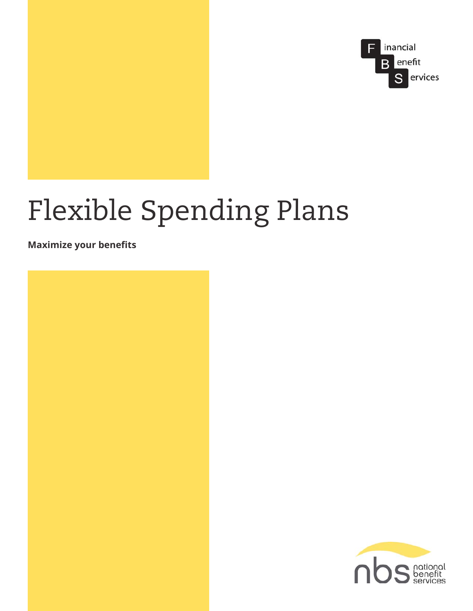

# Flexible Spending Plans

**Maximize your benefits** 



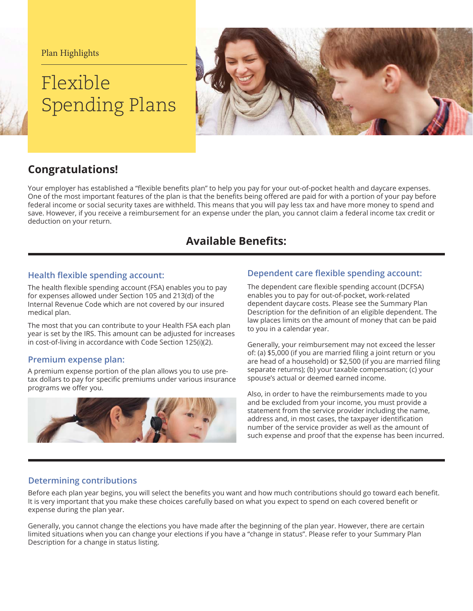Plan Highlights

# Flexible Spending Plans



# **Congratulations!**

Your employer has established a "flexible benefits plan" to help you pay for your out-of-pocket health and daycare expenses. One of the most important features of the plan is that the benefits being offered are paid for with a portion of your pay before federal income or social security taxes are withheld. This means that you will pay less tax and have more money to spend and save. However, if you receive a reimbursement for an expense under the plan, you cannot claim a federal income tax credit or deduction on your return.

# **Available Benefits:**

The health flexible spending account (FSA) enables you to pay for expenses allowed under Section 105 and 213(d) of the Internal Revenue Code which are not covered by our insured medical plan.

The most that you can contribute to your Health FSA each plan year is set by the IRS. This amount can be adjusted for increases in cost-of-living in accordance with Code Section 125(i)(2).

#### **Premium expense plan:**

A premium expense portion of the plan allows you to use pretax dollars to pay for specific premiums under various insurance programs we offer you.



### **+Health flexible spending account:** *bependent care flexible spending account:*

The dependent care flexible spending account (DCFSA) enables you to pay for out-of-pocket, work-related dependent daycare costs. Please see the Summary Plan Description for the definition of an eligible dependent. The law places limits on the amount of money that can be paid to you in a calendar year.

Generally, your reimbursement may not exceed the lesser of: (a) \$5,000 (if you are married filing a joint return or you are head of a household) or \$2,500 (if you are married filing separate returns); (b) your taxable compensation; (c) your spouse's actual or deemed earned income.

Also, in order to have the reimbursements made to you and be excluded from your income, you must provide a statement from the service provider including the name, address and, in most cases, the taxpayer identification number of the service provider as well as the amount of such expense and proof that the expense has been incurred.

#### **Determining contributions**

Before each plan year begins, you will select the benefits you want and how much contributions should go toward each benefit. It is very important that you make these choices carefully based on what you expect to spend on each covered benefit or expense during the plan year.

Generally, you cannot change the elections you have made after the beginning of the plan year. However, there are certain limited situations when you can change your elections if you have a "change in status". Please refer to your Summary Plan Description for a change in status listing.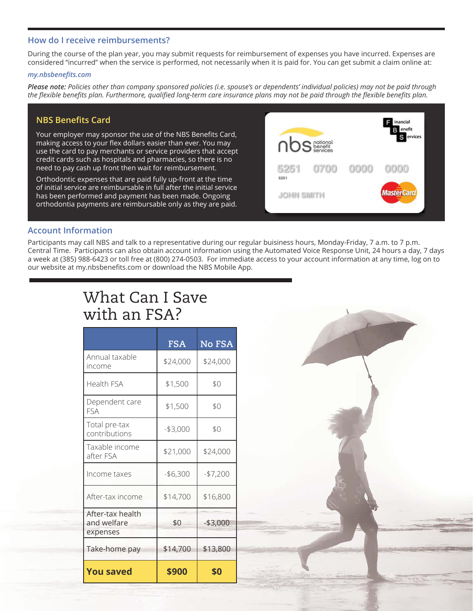#### **How do I receive reimbursements?**

During the course of the plan year, you may submit requests for reimbursement of expenses you have incurred. Expenses are considered "incurred" when the service is performed, not necessarily when it is paid for. You can get submit a claim online at:

#### $my.nbsbenefits.com$

*3OHDVHQRWH Policies other than company sponsored policies (i.e. spouse's or dependents' individual policies) may not be paid through*  the flexible benefits plan. Furthermore, qualified long-term care insurance plans may not be paid through the flexible benefits plan.

#### **NBS Benefits Card**

Your employer may sponsor the use of the NBS Benefits Card, making access to your flex dollars easier than ever. You may use the card to pay merchants or service providers that accept credit cards such as hospitals and pharmacies, so there is no need to pay cash up front then wait for reimbursement.

Orthodontic expenses that are paid fully up-front at the time of initial service are reimbursable in full after the initial service has been performed and payment has been made. Ongoing orthodontia payments are reimbursable only as they are paid.



#### **Account Information**

Participants may call NBS and talk to a representative during our regular buisiness hours, Monday-Friday, 7 a.m. to 7 p.m. Central Time. Participants can also obtain account information using the Automated Voice Response Unit, 24 hours a day, 7 days a week at (385) 988-6423 or toll free at (800) 274-0503. For immediate access to your account information at any time, log on to our website at my.nbsbenefits.com or download the NBS Mobile App.

# What Can I Save with an FSA?

|                                             | <b>FSA</b> | No FSA     |
|---------------------------------------------|------------|------------|
| Annual taxable<br>income                    | \$24,000   | \$24,000   |
| Health FSA                                  | \$1,500    | \$0        |
| Dependent care<br>FSA                       | \$1,500    | \$0        |
| Total pre-tax<br>contributions              | $-$3,000$  | \$0        |
| Taxable income<br>after FSA                 | \$21,000   | \$24,000   |
| Income taxes                                | $- $6,300$ | $-$7,200$  |
| After-tax income                            | \$14,700   | \$16,800   |
| After-tax health<br>and welfare<br>expenses | \$0        | $- $3,000$ |
| Take-home pay                               | \$14,700   | \$13,800   |
| <b>You saved</b>                            | \$900      | \$0        |

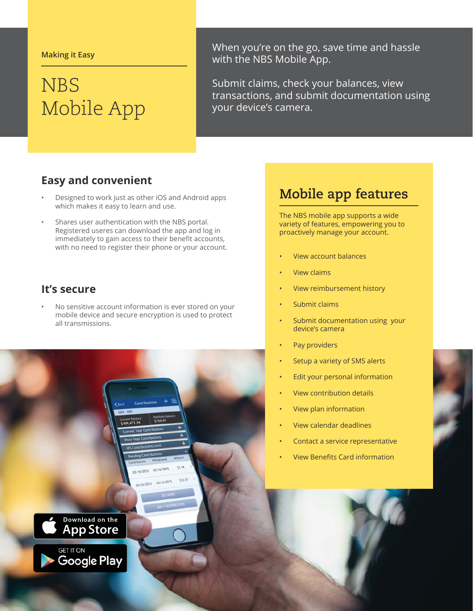#### **Making it Easy**

# **NBS** Mobile App

When you're on the go, save time and hassle with the NBS Mobile App.

Submit claims, check your balances, view transactions, and submit documentation using your device's camera.

### **Easy and convenient**

- Designed to work just as other iOS and Android apps which makes it easy to learn and use.
- Shares user authentication with the NBS portal. Registered useres can download the app and log in immediately to gain access to their benefit accounts, with no need to register their phone or your account.

### It's secure

No sensitive account information is ever stored on your mobile device and secure encryption is used to protect all transmissions.



# **Mobile app features**

The NBS mobile app supports a wide variety of features, empowering you to proactively manage your account.

- **View account balances**
- **View claims**
- View reimbursement history
- Submit claims
- Submit documentation using your device's camera
- Pay providers
- Setup a variety of SMS alerts
- Edit your personal information
- **View contribution details**
- View plan information
- View calendar deadlines
- Contact a service representative
- **View Benefits Card information**